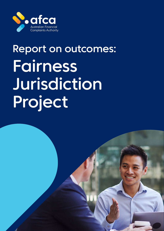

# Report on outcomes: Fairness Jurisdiction Project

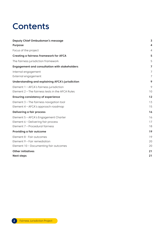## **Contents**

| <b>Deputy Chief Ombudsman's message</b>                 | $\overline{\mathbf{3}}$ |
|---------------------------------------------------------|-------------------------|
| <b>Purpose</b>                                          | 4                       |
| Focus of the project                                    | 4                       |
| <b>Creating a fairness framework for AFCA</b>           | 5                       |
| The fairness jurisdiction framework                     | 5                       |
| <b>Engagement and consultation with stakeholders</b>    | 7                       |
| Internal engagement                                     | 7                       |
| External engagement                                     | 7                       |
| <b>Understanding and explaining AFCA's jurisdiction</b> | 9                       |
| Element 1 - AFCA's fairness jurisdiction                | 9                       |
| Element 2 - The fairness tests in the AFCA Rules        | 10                      |
| <b>Ensuring consistency of experience</b>               | 12                      |
| Element 3 - The fairness navigation tool                | 13                      |
| Element 4 - AFCA's approach roadmap                     | 15                      |
| <b>Delivering a fair process</b>                        | 16                      |
| Element 5 - AFCA's Engagement Charter                   | 16                      |
| Element 6 - Delivering fair process                     | 17                      |
| Element 7 - Procedural fairness                         | 18                      |
| Providing a fair outcome                                | 19                      |
| Element 8 - Fair outcomes                               | 19                      |
| Element 9 - Fair remediation                            | 20                      |
| Element 10 - Documenting fair outcomes                  | 20                      |
| <b>Other initiatives</b>                                | 21                      |
| <b>Next steps</b>                                       | 21                      |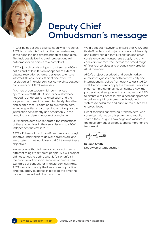<span id="page-2-0"></span>

## Deputy Chief Ombudsman's message

AFCA's Rules describe a jurisdiction which requires AFCA to do what is fair in all the circumstances, in the handling and determination of complaints. This includes delivering a fair process and fair outcomes for all parties to a complaint.

AFCA's jurisdiction is unique in that sense. AFCA is not a court of law. It is an independent external dispute resolution scheme, designed to ensure informal, flexible, fair, efficient and effective resolution of financial services complaints between consumers and AFCA members.

As a new organisation which commenced operation in 2018, AFCA and its new staff base needed to understand its jurisdiction and the scope and nature of its remit, to clearly describe and explain that jurisdiction to its stakeholders, including parties to a complaint, and to apply the jurisdiction consistently and predictably in the handling and determination of complaints.

Our stakeholders also reiterated the importance of these objectives in their submissions to AFCA's Independent Review in 2021.

AFCA's Fairness Jurisdiction Project was a strategic initiative undertaken to deliver a framework and key artefacts that would assist AFCA to meet these objectives.

We recognise that fairness as a concept means different things to different people. AFCA's project did not set out to define what is fair or unfair in the provision of financial services or create new standards of conduct for financial services firms. AFCA's role is to apply the law, codes of practice and regulatory guidance in place at the time the conduct complained about occurred.

We did set out however to ensure that AFCA and its staff understood its jurisdiction, could readily and clearly explain that jurisdiction and could consistently and transparently apply it to any complaint we received, across the broad range of financial services and products delivered by AFCA members.

AFCA's project described and benchmarked our fairness jurisdiction both domestically and internationally, built a framework to assist AFCA staff to consistently apply the fairness jurisdiction in our complaint handling, articulated how the parties should engage with each other and AFCA to ensure a fair process, explained our approach to delivering fair outcomes and designed systems to calculate and capture fair outcomes once achieved.

I want to thank our external stakeholders, who consulted with us on this project and readily shared their insight, knowledge and wisdom in the development of a robust and comprehensive framework.

**Dr June Smith** Deputy Chief Ombudsman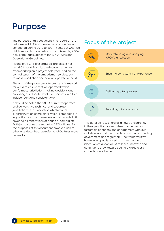## <span id="page-3-0"></span>Purpose

The purpose of this document is to report on the outcomes of AFCA's Fairness Jurisdiction Project conducted during 2019 to 2021. It sets out what we did, how we did it and what was achieved by AFCA. It must be read subject to the AFCA Rules and Operational Guidelines.

As one of AFCA's first strategic projects, it has set AFCA apart from its predecessor schemes by embarking on a project solely focused on the central tenant of the ombudsman service: our fairness jurisdiction and how we operate within it.

The aim of the project was to create a framework for AFCA to ensure that we operated within our fairness jurisdiction, making decisions and providing our dispute resolution services in a fair, independent and consistent way.

It should be noted that AFCA currently operates and delivers two technical and separate jurisdictions: the jurisdiction which covers superannuation complaints which is embodied in legislation and the non-superannuation jurisdiction covering all other types of financial complaints. Both jurisdictions are set out in AFCA's Rules. For the purposes of this document however, unless otherwise described, we refer to AFCA Rules more generally.

### Focus of the project



This detailed focus heralds a new transparency in the operation of ombudsman schemes and fosters an openness and engagement with our stakeholders and the broader community including government and regulators. The framework we have developed is based on an exchange of ideas, which allows AFCA to learn, innovate and continue to grow towards being a world class ombudsman scheme.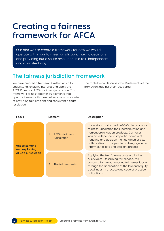## <span id="page-4-0"></span>Creating a fairness framework for AFCA

Our aim was to create a framework for how we would operate within our fairness jurisdiction, making decisions and providing our dispute resolution in a fair, independent and consistent way.

## The fairness jurisdiction framework

We have created a framework within which to understand, explain, interpret and apply the AFCA Rules and AFCA's fairness jurisdiction. This framework brings together 10 elements that operate to ensure that we deliver on our mandate of providing fair, efficient and consistent dispute resolution.

The table below describes the 10 elements of the framework against their focus area.

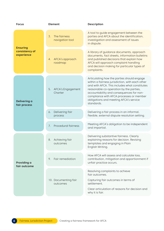| <b>Focus</b>                                    | <b>Element</b>                        | <b>Description</b>                                                                                                                                                                                                                                                                                                                        |
|-------------------------------------------------|---------------------------------------|-------------------------------------------------------------------------------------------------------------------------------------------------------------------------------------------------------------------------------------------------------------------------------------------------------------------------------------------|
| <b>Ensuring</b><br>consistency of<br>experience | 3.<br>The fairness<br>navigation tool | A tool to guide engagement between the<br>parties and AFCA about the identification,<br>investigation and assessment of issues<br>in dispute.                                                                                                                                                                                             |
|                                                 | AFCA's approach<br>4.<br>roadmap      | A library of guidance documents, approach<br>documents, fact sheets, information bulletins<br>and published decisions that explain how<br>AFCA will approach complaint handling<br>and decision making for particular types of<br>complaints.                                                                                             |
| Delivering a<br>fair process                    | 5.<br>AFCA's Engagement<br>Charter    | Articulating how the parties should engage<br>within a fairness jurisdiction, with each other<br>and with AFCA. This includes what constitutes<br>reasonable co-operation by the parties,<br>accountability and consequences for non-<br>compliance with AFCA processes or member<br>obligations and meeting AFCA's service<br>standards. |
|                                                 | Delivering fair<br>6.<br>process      | Delivering a fair process in an informal,<br>flexible, external dispute resolution setting.                                                                                                                                                                                                                                               |
|                                                 | Procedural fairness<br>7.             | Meeting AFCA's obligation to be independent<br>and impartial.                                                                                                                                                                                                                                                                             |
| Providing a<br>fair outcome                     | Achieving fair<br>8.<br>outcomes      | Delivering substantive fairness. Clearly<br>explaining reasons for decision. Revising<br>templates and engaging in Plain<br>English Writing.                                                                                                                                                                                              |
|                                                 | Fair remediation<br>9.                | How AFCA will assess and calculate loss,<br>contribution, mitigation and apportionment if<br>unfair practice occurs.                                                                                                                                                                                                                      |
|                                                 | 10. Documenting fair<br>outcomes      | Resolving complaints to achieve<br>fair outcomes.<br>Capturing fair outcomes in terms of<br>settlement.<br>Clear articulation of reasons for decision and<br>why it is fair.                                                                                                                                                              |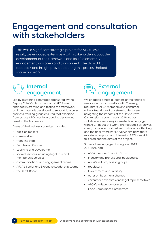## <span id="page-6-0"></span>Engagement and consultation with stakeholders

This was a significant strategic project for AFCA. As a result, we engaged extensively with stakeholders about the development of the framework and its 10 elements. Our engagement was open and transparent. The thoughtful feedback and insight provided during this process helped shape our work.

## Internal engagement

Led by a steering committee sponsored by the Deputy Chief Ombudsman, all of AFCA was engaged in creating and testing the framework and the materials developed to support it. A cross business working group ensured that expertise from across AFCA was leveraged to design and develop the framework.

Areas of the business consulted included:

- **•** decision makers
- **•** case workers
- **•** front line staff
- **•** People and Culture
- **•** Learning and Development
- **•** shared services including legal, risk and membership services
- **•** communications and engagement teams
- **•** AFCA's Senior and Executive Leadership teams
- **•** the AFCA Board.

### External engagement

We engaged across all sectors of the financial services industry as well as with Treasury, regulators, AFCA members and consumer advocates. Many of our stakeholders were navigating the impacts of the Hayne Royal Commission report in early 2019, so our stakeholders were very interested and engaged with AFCA about this work. The feedback given was open, considered and helped to shape our thinking and the final framework. Overwhelmingly, there was strong support and interest in AFCA's work in this area and the aims of the project.

Stakeholders engaged throughout 2019 to 2021 included:

- **•** AFCA member financial firms
- **•** industry and professional peak bodies
- **•** AFCA's industry liaison groups
- **•** regulators
- **•** Government and Treasury
- **•** other ombudsman schemes
- **•** consumer advocates and legal representatives
- **•** AFCA's independent assessor
- **•** Code Compliance Committees.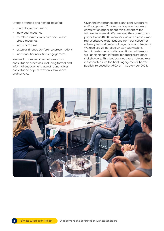Events attended and hosted included:

- **•** round table discussions
- **•** individual meetings
- **•** member forums, webinars and liaison group meetings
- **•** industry forums
- **•** external finance conference presentations
- **•** individual financial firm engagement.

We used a number of techniques in our consultation processes, including formal and informal engagement, use of round tables, consultation papers, written submissions and surveys.

Given the importance and significant support for an Engagement Charter, we prepared a formal consultation paper about this element of the fairness framework. We released the consultation paper to our 40,000 members, as well as consumer representative organisations from our consumer advisory network, relevant regulators and Treasury. We received 21 detailed written submissions from industry peak bodies and financial firms, as well as significant informal feedback from other stakeholders. This feedback was very rich and was incorporated into the final Engagement Charter publicly released by AFCA on 1 September 2021.

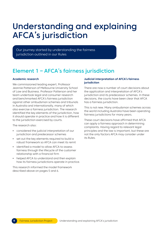## <span id="page-8-0"></span>Understanding and explaining AFCA's jurisdiction

Our journey started by understanding the fairness jurisdiction outlined in our Rules

## Element 1 – AFCA's fairness jurisdiction

### **Academic research**

We commissioned leading expert, Professor Jeannie Patterson of Melbourne University School of Law and Business. Professor Patterson and her team undertook legal and consumer research and benchmarked AFCA's fairness jurisdiction against other ombudsman schemes and tribunals in Australia and internationally, many of which also exercise a fairness jurisdiction. The research identified the key elements of the jurisdiction, how it should operate in practice and how it is different to the jurisdiction exercised by courts.

The research also:

- **•** considered the judicial interpretation of our jurisdiction and predecessor schemes
- **•** set out the key elements required to build a robust framework so AFCA can meet its remit
- **•** identified a model to allow AFCA to assess fairness through the lifecycle of the customer relationship with a financial firm
- **•** helped AFCA to understand and then explain how its fairness jurisdictions operate in practice.

This research informed the model framework described above on pages 5 and 6.

#### **Judicial interpretation of AFCA's fairness jurisdiction**

There are now a number of court decisions about the application and interpretation of AFCA's jurisdiction and its predecessor schemes. In these decisions, the courts have been clear that AFCA has a fairness jurisdiction.

This is not new. Many ombudsman schemes across the world including Australia have been operating fairness jurisdictions for many years.

These court decisions have affirmed that AFCA can apply a fairness approach in determining complaints. Having regard to relevant legal principles and the law is important, but these are not the only factors AFCA may consider under its Rules.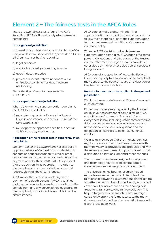## <span id="page-9-0"></span>Element 2 – The fairness tests in the AFCA Rules

There are two fairness tests found in AFCA's Rules that AFCA staff must apply when assessing complaints:

#### **In our general jurisdiction**

In assessing and determining complaints, an AFCA Decision Maker must do what they consider is fair in all circumstances having regard to:

- a) legal principles
- b) applicable industry codes or guidance
- c) good industry practice
- d) previous relevant Determinations of AFCA or Predecessor Schemes (but these are not binding)

This is the first of two "fairness tests" in AFCA's Rules.

#### **In our superannuation jurisdiction**

When determining a superannuation complaint, the AFCA Decision Maker:

- a) may refer a question of law to the Federal Court in accordance with section 1054C of the Corporations Act
- b) must apply the approach specified in section 1055 of the Corporations Act.

#### **Application of the fairness test in superannuation complaints**

Section 1055 of the Corporations Act sets out an approach where AFCA must affirm a decision or conduct of a superannuation trustee or other decision maker (except a decision relating to the payment of a death benefit) if AFCA is satisfied that the decision, in its operation in relation to the complainant, or the conduct, was fair and reasonable in all the circumstances.

AFCA must affirm a decision relating to the payment of a death benefit if AFCA is satisfied that the decision, in its operation in relation to the complainant and any person joined as a party to the complaint, was fair and reasonable in all the circumstances.

AFCA cannot make a determination in a superannuation complaint that would be contrary to law, the governing rules of the superannuation fund or the terms and conditions of a relevant insurance policy.

When an AFCA decision maker determines a superannuation complaint, AFCA has all the same powers, obligations and discretions of the trustee, insurer, retirement savings accounts provider or other decision maker whose decision or conduct is being reviewed.

AFCA can refer a question of law to the Federal Court, and a party to a superannuation complaint may appeal to the Federal Court, on a question of law, from our determination.

### **How the fairness tests are applied in the general jurisdiction**

We did not seek to define what "fairness" means in our framework.

Rather, we are very much guided by the law and equity in our assessment of complaints at AFCA and within the framework. Fairness is found everywhere in law, including unfair contract terms, fiduciary duties, misleading and deceptive and unconscionable conduct obligations and the obligation of licensees to be efficient, honest and fair.

We also acknowledge that the financial services regulatory environment continues to evolve with many new service providers and products and with the recent commencement of product design and distribution obligations, amongst other changes.

The framework has been designed to be product and technology neutral to accommodate a changing market and regulatory environment.

The University of Melbourne research helped us to also examine the current lifecycle of the relationship between a customer and financial firm to better understand established legal, equity and commercial principles such as fair dealing, fair treatment, fair service and fair remediation. This helped to guide our approach to how we might consistently apply the fairness tests to the many different product and service types AFCA sees in its dispute resolution work.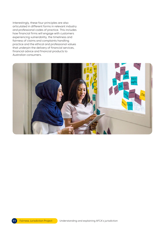Interestingly, these four principles are also articulated in different forms in relevant industry and professional codes of practice. This includes how financial firms will engage with customers experiencing vulnerability, the timeliness and fairness of claims and complaints handling practice and the ethical and professional values that underpin the delivery of financial services, financial advice and financial products to Australian consumers.

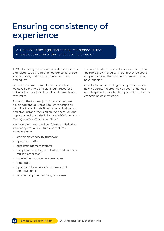## <span id="page-11-0"></span>Ensuring consistency of experience

AFCA applies the legal and commercial standards that existed at the time of the conduct complained of.

AFCA's fairness jurisdiction is mandated by statute and supported by regulatory guidance. It reflects long-standing and familiar principles of law and equity.

Since the commencement of our operations, we have spent time and significant resources talking about our jurisdiction both internally and externally.

As part of the fairness jurisdiction project, we developed and delivered robust training to all complaint handling staff, including adjudicators and ombudsmen, focusing on the operation and application of our jurisdiction and AFCA's decisionmaking powers set out in our Rules.

We have also integrated our fairness jurisdiction into our operations, culture and systems, including in our:

- **•** leadership capability framework
- **•** operational KPIs
- **•** case management systems
- **•** complaint handling, conciliation and decisionmaking processes
- **•** knowledge management resources
- **•** templates
- **•** approach documents, fact sheets and other guidance
- **•** service complaint handling processes.

This work has been particularly important given the rapid growth of AFCA in our first three years of operation and the volume of complaints we have handled.

Our staff's understanding of our jurisdiction and how it operates in practice has been enhanced and deepened through this important training and embedding of knowledge.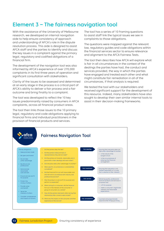## <span id="page-12-0"></span>Element 3 – The fairness navigation tool

With the assistance of the University of Melbourne research, we developed an internal navigation aide to help ensure consistency of approach and understanding of AFCA's role in the dispute resolution process. This aide is designed to assist AFCA staff and the parties to identify and discuss the key issues in a complaint against the primary legal, regulatory and codified obligations of a financial firm.

The development of the navigation tool was also informed by AFCA's experience of over 270,000 complaints in its first three years of operation and significant consultation with stakeholders.

Clarity of the issues to be assessed and determined at an early stage in the process is a critical part of AFCA's ability to deliver a fair process and a fair outcome and bring finality to a complaint.

The tool was developed to reflect the 10 key issues predominantly raised by consumers in AFCA complaints, across all financial product areas.

The tool then links those issues to the 10 primary legal, regulatory and code obligations applying to financial firms and individual practitioners in the provision of financial products and services.

The tool has a series of 10 framing questions to assist staff link the typical issues we see in complaints to those obligations.

The questions were mapped against the relevant law, regulatory guides and code obligations within the financial services sector to ensure relevance and alignment to the AFCA Fairness Tests.

The tool then describes how AFCA will explore what is fair in all circumstances in the context of the dealings the parties have had, the conduct and services provided, the way in which the parties have engaged and treated each other and what might constitute fair remediation in all of the circumstances, if that analysis is required.

We tested the tool with our stakeholders and received significant support for the development of this resource. Indeed, many stakeholders have also sought to develop their own similar internal tools to assist in their decision-making frameworks.

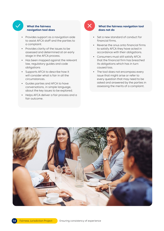

### **What the fairness navigation tool does**

- **•** Provides support as a navigation aide to assist AFCA staff and the parties to a complaint.
- **•** Provides clarity of the issues to be assessed and determined at an early stage in the AFCA process.
- **•** Has been mapped against the relevant law, regulatory guides and code obligations
- **•** Supports AFCA to describe how it will consider what is fair in all the circumstances.
- **•** Guides parties and AFCA to have conversations, in simple language, about the key issues to be explored.
- **•** Helps AFCA deliver a fair process and a fair outcome.



### **What the fairness navigation tool does not do**

- **•** Set a new standard of conduct for financial firms.
- **•** Reverse the onus onto financial firms to satisfy AFCA they have acted in accordance with their obligations.
- **•** Consumers must still satisfy AFCA that the financial firm has breached its obligations which has in turn caused loss.
- **•** The tool does not encompass every issue that might arise or refer to every question that may need to be asked and answered by the parties in assessing the merits of a complaint.

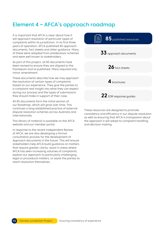## <span id="page-14-0"></span>Element 4 – AFCA's approach roadmap

It is important that AFCA is clear about how it will approach resolution of particular types of complaints within its jurisdiction. In its first three years of operation, AFCA published 85 approach documents, fact sheets and other guidance. Many of these were adopted from predecessor schemes and were well known to stakeholders.

As part of this project, all 85 documents have been revised to ensure they are aligned to the framework and re-published. Many required only minor amendment.

These documents describe how we may approach the resolution of certain types of complaints based on our experience. They give the parties to a complaint real insight into what they can expect during our process and the types of submissions they should make in support of their case.

All 85 documents form the initial section of our Roadmap, which will grow over time. This continues a long-established practice of external dispute resolution schemes across Australia and internationally.

This library of material is available on the AFCA website and our member portal.

In response to the recent Independent Review of AFCA, we are also developing a formal consultation process for the development of Approach documents in the future. This will ensure stakeholders help AFCA build guidance on matters that require greater clarity, assist in areas where AFCA has seen increasing volumes of complaints, explain our approach to particularly challenging legal or procedural matters, or assist the parties to reach resolution themselves.



These resources are designed to promote consistency and efficiency in our dispute resolution as well as ensuring that AFCA is transparent about the approach it will adopt to complaint handling and decision making.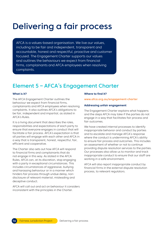## <span id="page-15-0"></span>Delivering a fair process

AFCA is a values-based organisation. We live our values, including to be fair and independent, transparent and accountable, honest and respectful, proactive and customer focused. The Engagement Charter supports our values and outlines the behaviours we expect from financial firms, complainants and AFCA employees when resolving complaints.

## Element 5 – AFCA's Engagement Charter

#### **What is it?**

The AFCA Engagement Charter outlines the behaviour we expect from financial firms, complainants and AFCA employees when resolving complaints. It also outlines AFCA's obligations to be fair, independent and impartial, as stated in AFCA's Rules.

It is a living document that describes the roles, responsibilities and expectations of each party to ensure that everyone engages in conduct that will facilitate a fair process. AFCA's expectation is that all parties will engage with each other and AFCA in a way that is transparent, honest, respectful, fair, efficient and cooperative.

The Charter also sets out how AFCA will respond to financial firms and complainants that do not engage in this way. As stated in the AFCA Rules, AFCA can, at its discretion, stop engaging with a party in exceptional circumstances. This includes circumstances of aggressive, bullying and harassing behaviour or in a manner which hinders fair process through undue delay, nondisclosure of relevant material, misleading and deceptive conduct.

AFCA will call out and act on behaviour it considers inconsistent with the principles in the Charter.

#### **Where to find it?**

#### **[www.afca.org.au/engagement-charter](http://www.afca.org.au/engagement-charter)**

#### **Addressing unfair engagement**

The Engagement Charter explains what happens and the steps AFCA may take if the parties do not engage in a way that facilitates fair process and fair outcomes.

We have created internal processes to identify inappropriate behavior and conduct by parties and to escalate and manage AFCA's response where the conduct is undermining AFCA's ability to ensure fair process and outcomes. This includes an assessment of whether or not to continue providing dispute resolution services to the parties. Our processes also allow us to monitor and track inappropriate conduct to ensure that our staff are working in a safe environment.

AFCA will also report inappropriate conduct by financial firms in the external dispute resolution process, to relevant regulators.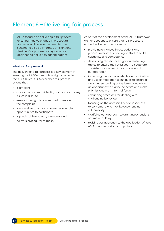### <span id="page-16-0"></span>Element 6 – Delivering fair process

AFCA focuses on delivering a fair process ensuring that we engage in procedural fairness and balance the need for the scheme to also be informal, efficient and flexible. Our process and systems are designed to deliver on our obligations.

#### **What is a fair process?**

The delivery of a fair process is a key element in ensuring that AFCA meets its obligations under the AFCA Rules. AFCA describes fair process as one that:

- **•** is efficient
- **•** assists the parties to identify and resolve the key issues in dispute
- **•** ensures the right tools are used to resolve the complaint
- **•** is accessible to all and ensures reasonable opportunities to participate
- **•** is predictable and easy to understand
- **•** delivers procedural fairness.

As part of the development of the AFCA framework, we have sought to ensure that fair process is embedded in our operations by:

- **•** providing enhanced investigations and procedural fairness training to staff to build capability and competency
- **•** developing revised investigation reasoning tables to ensure the key issues in dispute are consistently assessed in accordance with our approach
- **•** increasing the focus on telephone conciliation and use of mediation techniques to ensure a clear understanding of the issues, and allow an opportunity to clarify, be heard and make submissions in an informal forum
- **•** enhancing processes for dealing with challenging behaviour
- **•** focusing on the accessibility of our services to consumers who may be experiencing vulnerability
- **•** clarifying our approach to granting extensions of time and delay
- **•** revising our approach to the application of Rule A8.3 to unmeritorious complaints.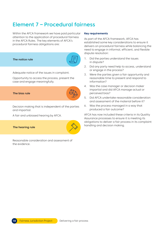## <span id="page-17-0"></span>Element 7 – Procedural fairness

Within the AFCA framework we have paid particular attention to the application of procedural fairness in the AFCA Rules. The key elements of AFCA's procedural fairness obligations are:

#### **The notice rule**

Adequate notice of the issues in complaint.

Opportunity to access the process, present the case and engage meaningfully.

**The bias rule**

Decision making that is independent of the parties and impartial.

A fair and unbiased hearing by AFCA.

#### **The hearing rule**

Reasonable consideration and assessment of the evidence.

#### **Key requirements**

As part of the AFCA framework, AFCA has established some key considerations to ensure it delivers on procedural fairness while balancing the need to engage in informal, efficient, and flexible dispute resolution:

- 1. Did the parties understand the issues in dispute?
- 2. Did any party need help to access, understand or engage in the process?
- 3. Were the parties given a fair opportunity and reasonable time to present and respond to information?
- 4. Was the case manager or decision maker impartial and did AFCA manage actual or perceived bias?
- 5. Did AFCA undertake reasonable consideration and assessment of the material before it?
- 6. Was the process managed in a way that produced a fair outcome?

AFCA has now included these criteria in its Quality Assurance processes to ensure it is meeting its obligations to deliver a fair process in its complaint handling and decision making.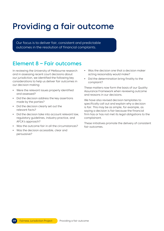## <span id="page-18-0"></span>Providing a fair outcome

Our focus is to deliver fair, consistent and predictable outcomes in the resolution of financial complaints.

## Element 8 – Fair outcomes

In reviewing the University of Melbourne research and in assessing recent court decisions about our jurisdiction, we identified the following key considerations to help us deliver fair outcomes in our decision making:

- **•** Were the relevant issues properly identified and assessed?
- **•** Did the decision address the key assertions made by the parties?
- **•** Did the decision clearly set out the relevant facts?
- **•** Did the decision take into account relevant law, regulatory guidelines, industry practice, and AFCA's approach?
- **•** Was the outcome fair in all the circumstances?
- **•** Was the decision accessible, clear and persuasive?
- **•** Was the decision one that a decision maker acting reasonably would make?
- **•** Did the determination bring finality to the complaint?

These matters now form the basis of our Quality Assurance Framework when reviewing outcome and reasons in our decisions.

We have also revised decision templates to specifically call out and explain why a decision is fair. This may be as simple, for example, as saying a decision is fair because the financial firm has or has not met its legal obligations to the complainant.

These initiatives promote the delivery of consistent fair outcomes.

**1919** Fairness Jurisdiction Project Providing a fair outcome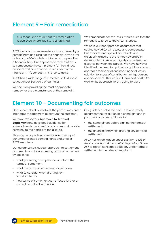### <span id="page-19-0"></span>Element 9 – Fair remediation

Our focus is to ensure that fair remediation is achieved where liability is established.

AFCA's role is to compensate for loss suffered by a complainant as a result of the financial firm's error or breach. AFCA's role is not to punish or penalise a financial firm. Our approach to remediation is to compensate the complainant for their direct financial and non-financial loss caused by the financial firm's conduct, if it is fair to do so.

AFCA has a wide range of remedies at its disposal set out under Section D of our Rules.

We focus on providing the most appropriate remedy for the circumstances of the complaint. We compensate for the loss suffered such that the remedy is tailored to the circumstances.

We have current Approach documents that outline how AFCA will assess and compensate loss for different types of complaints and we clearly articulate the remedy awarded in decisions to minimise ambiguity and subsequent disputes between the parties. We have however identified the need to update our guidance on our approach to financial and non-financial loss in addition to issues of contribution, mitigation and apportionment. This work will form part of AFCA's work on its approach library going forward.

### Element 10 – Documenting fair outcomes

Once a complaint is resolved, the parties may enter into terms of settlement to capture the outcome.

We have revised our **[Approach to Terms of](https://www.afca.org.au/about-afca/publications/approach-terms-of-settlement)  [Settlement](https://www.afca.org.au/about-afca/publications/approach-terms-of-settlement)** and developed guidance for stakeholders to capture fair outcomes and provide certainty to the parties to the dispute.

This may be of particular assistance to many of our unrepresented complainants and smaller AFCA members.

Our guidance sets out our approach to settlement documents and to interpreting terms of settlement by outlining:

- **•** what governing principles should inform the terms of settlement
- **•** what the terms of settlement should cover
- **•** what to consider when drafting nonstandard terms
- **•** how terms of settlement can affect a further or current complaint with AFCA.

Our guidance helps the parties to accurately document the resolution of a complaint and in particular provides guidance to:

- **•** the complainant before signing the terms of settlement
- **•** the financial firm when drafting any terms of settlement.

AFCA has an obligation under section 1052E of the Corporations Act and ASIC Regulatory Guide 267 to report concerns about any unfair terms of settlement to the relevant regulator.